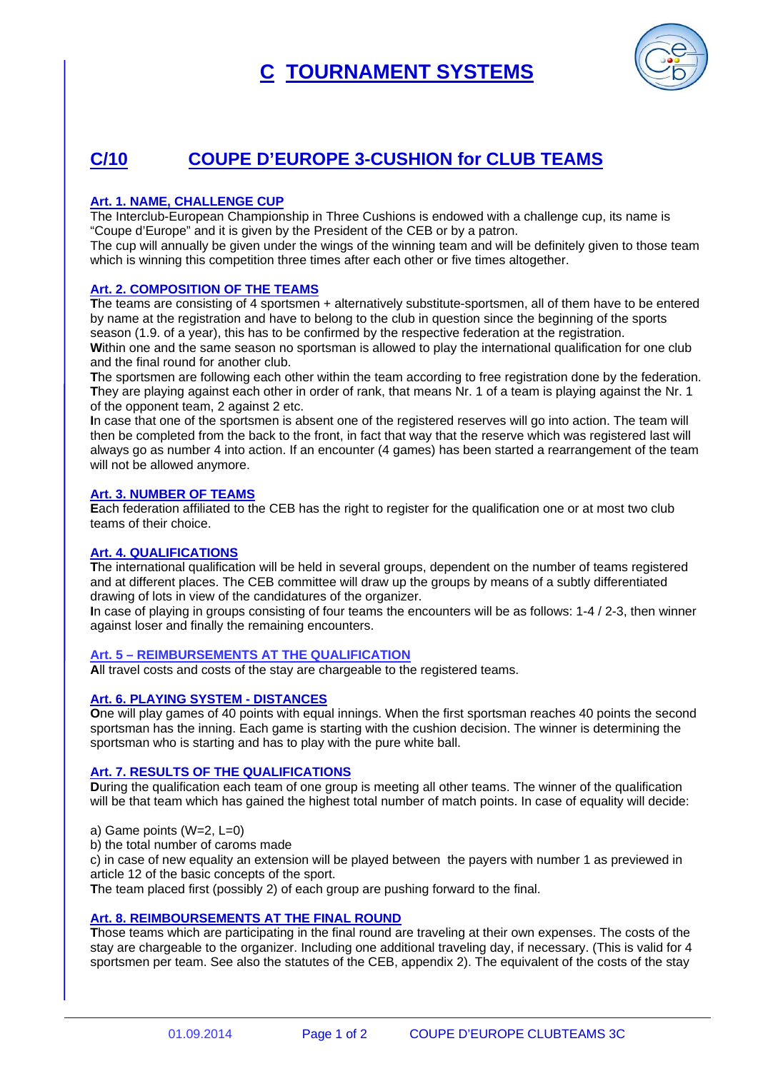# **C TOURNAMENT SYSTEMS**



## **C/10 COUPE D'EUROPE 3-CUSHION for CLUB TEAMS**

### **Art. 1. NAME, CHALLENGE CUP**

The Interclub-European Championship in Three Cushions is endowed with a challenge cup, its name is "Coupe d'Europe" and it is given by the President of the CEB or by a patron.

The cup will annually be given under the wings of the winning team and will be definitely given to those team which is winning this competition three times after each other or five times altogether.

#### **Art. 2. COMPOSITION OF THE TEAMS**

**T**he teams are consisting of 4 sportsmen + alternatively substitute-sportsmen, all of them have to be entered by name at the registration and have to belong to the club in question since the beginning of the sports season (1.9. of a year), this has to be confirmed by the respective federation at the registration. Within one and the same season no sportsman is allowed to play the international qualification for one club and the final round for another club.

**T**he sportsmen are following each other within the team according to free registration done by the federation. **T**hey are playing against each other in order of rank, that means Nr. 1 of a team is playing against the Nr. 1 of the opponent team, 2 against 2 etc.

**I**n case that one of the sportsmen is absent one of the registered reserves will go into action. The team will then be completed from the back to the front, in fact that way that the reserve which was registered last will always go as number 4 into action. If an encounter (4 games) has been started a rearrangement of the team will not be allowed anymore.

#### **Art. 3. NUMBER OF TEAMS**

**E**ach federation affiliated to the CEB has the right to register for the qualification one or at most two club teams of their choice.

#### **Art. 4. QUALIFICATIONS**

**T**he international qualification will be held in several groups, dependent on the number of teams registered and at different places. The CEB committee will draw up the groups by means of a subtly differentiated drawing of lots in view of the candidatures of the organizer.

**I**n case of playing in groups consisting of four teams the encounters will be as follows: 1-4 / 2-3, then winner against loser and finally the remaining encounters.

#### **Art. 5 – REIMBURSEMENTS AT THE QUALIFICATION**

**A**ll travel costs and costs of the stay are chargeable to the registered teams.

#### **Art. 6. PLAYING SYSTEM - DISTANCES**

**O**ne will play games of 40 points with equal innings. When the first sportsman reaches 40 points the second sportsman has the inning. Each game is starting with the cushion decision. The winner is determining the sportsman who is starting and has to play with the pure white ball.

#### **Art. 7. RESULTS OF THE QUALIFICATIONS**

**D**uring the qualification each team of one group is meeting all other teams. The winner of the qualification will be that team which has gained the highest total number of match points. In case of equality will decide:

a) Game points (W=2, L=0)

b) the total number of caroms made

c) in case of new equality an extension will be played between the payers with number 1 as previewed in article 12 of the basic concepts of the sport.

**T**he team placed first (possibly 2) of each group are pushing forward to the final.

#### **Art. 8. REIMBOURSEMENTS AT THE FINAL ROUND**

**T**hose teams which are participating in the final round are traveling at their own expenses. The costs of the stay are chargeable to the organizer. Including one additional traveling day, if necessary. (This is valid for 4 sportsmen per team. See also the statutes of the CEB, appendix 2). The equivalent of the costs of the stay